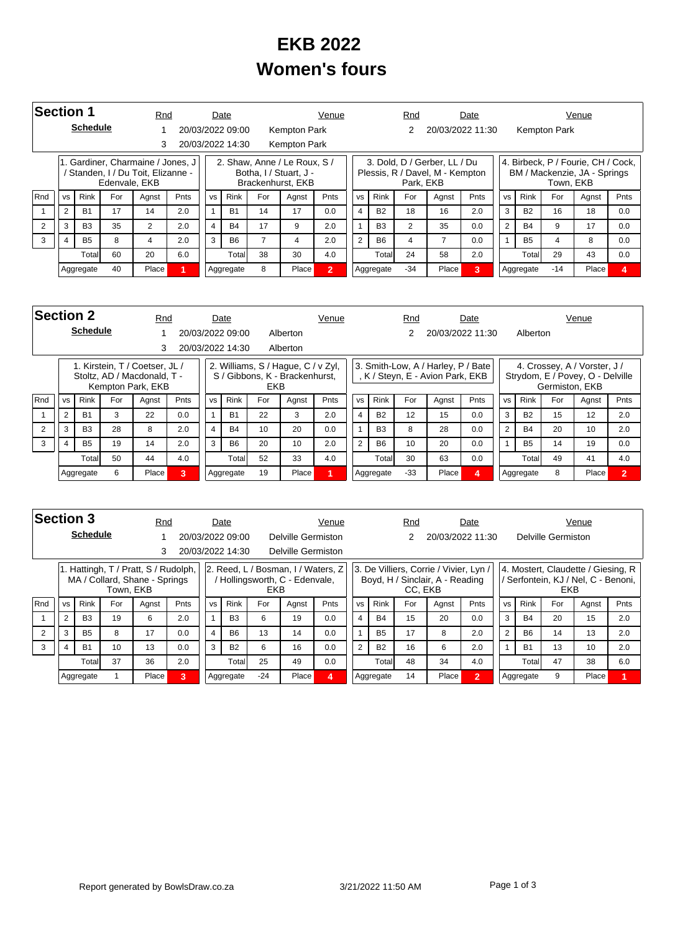## **EKB 2022 Women's fours**

|     | Section 1                  |                 |               |                                                                         | Rnd  |           | Date             |                      |                                                                             | Venue          |           |                | Rnd       |                                                                 | Date |           |             |              | Venue                                                              |                |
|-----|----------------------------|-----------------|---------------|-------------------------------------------------------------------------|------|-----------|------------------|----------------------|-----------------------------------------------------------------------------|----------------|-----------|----------------|-----------|-----------------------------------------------------------------|------|-----------|-------------|--------------|--------------------------------------------------------------------|----------------|
|     |                            | <b>Schedule</b> |               |                                                                         |      |           | 20/03/2022 09:00 |                      | Kempton Park                                                                |                |           |                |           | 20/03/2022 11:30                                                |      |           |             | Kempton Park |                                                                    |                |
|     |                            |                 |               |                                                                         |      |           | 20/03/2022 14:30 |                      | Kempton Park                                                                |                |           |                |           |                                                                 |      |           |             |              |                                                                    |                |
|     |                            |                 | Edenvale, EKB | 1. Gardiner, Charmaine / Jones, J<br>' Standen, I / Du Toit, Elizanne - |      |           |                  |                      | 2. Shaw. Anne / Le Roux. S /<br>Botha, I / Stuart, J -<br>Brackenhurst, EKB |                |           |                | Park. EKB | 3. Dold, D / Gerber, LL / Du<br>Plessis, R / Davel, M - Kempton |      |           |             | Town, EKB    | 4. Birbeck, P / Fourie, CH / Cock,<br>BM / Mackenzie, JA - Springs |                |
| Rnd | <b>VS</b>                  | <b>Rink</b>     | For           | Agnst                                                                   | Pnts | <b>VS</b> | <b>Rink</b>      | For<br>Pnts<br>Agnst |                                                                             |                | <b>VS</b> | <b>Rink</b>    | For       | Agnst                                                           | Pnts | <b>VS</b> | <b>Rink</b> | For          | Agnst                                                              | Pnts           |
|     |                            | <b>B1</b>       | 17            | 14                                                                      | 2.0  |           | <b>B1</b>        | 14                   | 17                                                                          | 0.0            | 4         | <b>B2</b>      | 18        | 16                                                              | 2.0  | 3         | <b>B2</b>   | 16           | 18                                                                 | 0.0            |
|     | 3                          | B <sub>3</sub>  | 35            | $\overline{2}$                                                          | 2.0  | 4         | <b>B4</b>        | 17                   | 9                                                                           | 2.0            |           | B <sub>3</sub> | 2         | 35                                                              | 0.0  | 2         | <b>B4</b>   | 9            | 17                                                                 | 0.0            |
| 3   | 2.0<br><b>B5</b><br>8<br>4 |                 |               |                                                                         | 3    | <b>B6</b> |                  | 4                    | 2.0                                                                         | $\overline{2}$ | <b>B6</b> | 4              |           | 0.0                                                             |      | <b>B5</b> | 4           | 8            | 0.0                                                                |                |
|     |                            | Totall          | 60            | 20                                                                      | 6.0  |           | Total            | 38                   | 30                                                                          | 4.0            |           | Total          | 24        | 58                                                              | 2.0  |           | Total       | 29           | 43                                                                 | 0.0            |
|     |                            | Aggregate       | 40            | Place                                                                   |      |           | Aggregate        | 8                    | Place                                                                       | $\overline{2}$ |           | Aggregate      | $-34$     | Place                                                           | 3.   |           | Aggregate   | $-14$        | Place                                                              | $\overline{a}$ |

|     | <b>Section 2</b><br><b>Schedule</b> |                |     |                                                                                    | Rnd         |                | Date             |            |                                                                      | Venue |           |             | Rnd   |                                                                      | Date             |           |             |                | Venue                                                            |                |
|-----|-------------------------------------|----------------|-----|------------------------------------------------------------------------------------|-------------|----------------|------------------|------------|----------------------------------------------------------------------|-------|-----------|-------------|-------|----------------------------------------------------------------------|------------------|-----------|-------------|----------------|------------------------------------------------------------------|----------------|
|     |                                     |                |     |                                                                                    |             |                | 20/03/2022 09:00 |            | Alberton                                                             |       |           |             |       |                                                                      | 20/03/2022 11:30 |           | Alberton    |                |                                                                  |                |
|     |                                     |                |     | 3                                                                                  |             |                | 20/03/2022 14:30 |            | Alberton                                                             |       |           |             |       |                                                                      |                  |           |             |                |                                                                  |                |
|     |                                     |                |     | 1. Kirstein, T / Coetser, JL /<br>Stoltz, AD / Macdonald, T -<br>Kempton Park, EKB |             |                |                  | <b>EKB</b> | 2. Williams, S / Hague, C / v Zyl,<br>S / Gibbons, K - Brackenhurst, |       |           |             |       | 3. Smith-Low, A / Harley, P / Bate<br>K / Steyn, E - Avion Park, EKB |                  |           |             | Germiston, EKB | 4. Crossey, A / Vorster, J /<br>Strydom, E / Povey, O - Delville |                |
| Rnd | <b>VS</b>                           | <b>Rink</b>    | For | Agnst                                                                              | <b>Pnts</b> | <b>VS</b>      | <b>Rink</b>      | For        | Agnst                                                                | Pnts  | <b>VS</b> | <b>Rink</b> | For   | Agnst                                                                | Pnts             | <b>VS</b> | <b>Rink</b> | For            | Agnst                                                            | Pnts           |
|     | $\overline{2}$                      | <b>B1</b>      | 3   | 22                                                                                 | 0.0         | $\overline{1}$ | <b>B1</b>        | 22         | 3                                                                    | 2.0   | 4         | <b>B2</b>   | 12    | 15                                                                   | 0.0              | 3         | <b>B2</b>   | 15             | 12                                                               | 2.0            |
| 2   | 3                                   | B <sub>3</sub> | 28  | 8                                                                                  | 2.0         | $\overline{4}$ | <b>B4</b>        | 10         | 20                                                                   | 0.0   |           | <b>B3</b>   | 8     | 28                                                                   | 0.0              | 2         | <b>B4</b>   | 20             | 10                                                               | 2.0            |
| 3   | $\overline{4}$                      | <b>B5</b>      | 19  | 14                                                                                 | 2.0         | 3              | <b>B6</b>        | 20         | 10                                                                   | 2.0   | 2         | <b>B6</b>   | 10    | 20                                                                   | 0.0              |           | <b>B5</b>   | 14             | 19                                                               | 0.0            |
|     |                                     | Total          | 50  | 44                                                                                 | 4.0         |                | Totall           | 52         | 33                                                                   | 4.0   |           | Total       | 30    | 63                                                                   | 0.0              |           | Total       | 49             | 41                                                               | 4.0            |
|     |                                     | Aggregate      | 6   | Place                                                                              | 3           |                | Aggregate        | 19         | Place                                                                |       |           | Aggregate   | $-33$ | Place                                                                | 4                |           | Aggregate   | 8              | Place                                                            | $\overline{2}$ |

|            |                | <b>Section 3</b> |           | Rnd                                                                   |      |           | Date             |            |                                                                    | Venue |                |           | Rnd     |                                                                         | Date         |                |             |                    | Venue                                                                   |      |
|------------|----------------|------------------|-----------|-----------------------------------------------------------------------|------|-----------|------------------|------------|--------------------------------------------------------------------|-------|----------------|-----------|---------|-------------------------------------------------------------------------|--------------|----------------|-------------|--------------------|-------------------------------------------------------------------------|------|
|            |                | <b>Schedule</b>  |           |                                                                       |      |           | 20/03/2022 09:00 |            | Delville Germiston                                                 |       |                |           |         | 20/03/2022 11:30                                                        |              |                |             | Delville Germiston |                                                                         |      |
|            |                |                  |           | 3                                                                     |      |           | 20/03/2022 14:30 |            | Delville Germiston                                                 |       |                |           |         |                                                                         |              |                |             |                    |                                                                         |      |
|            |                |                  | Town, EKB | 1. Hattingh, T / Pratt, S / Rudolph,<br>MA / Collard, Shane - Springs |      |           |                  | <b>EKB</b> | 2. Reed, L / Bosman, I / Waters, Z<br>Hollingsworth, C - Edenvale, |       |                |           | CC. EKB | 3. De Villiers, Corrie / Vivier, Lyn<br>Boyd, H / Sinclair, A - Reading |              |                |             | <b>EKB</b>         | 4. Mostert, Claudette / Giesing, R<br>Serfontein, KJ / Nel, C - Benoni, |      |
| <b>Rnd</b> | <b>VS</b>      | <b>Rink</b>      | For       | Agnst                                                                 | Pnts | <b>VS</b> | Rink             | For        | Agnst                                                              | Pnts  | <b>VS</b>      | Rink      | For     | Agnst                                                                   | Pnts         | <b>VS</b>      | <b>Rink</b> | For                | Agnst                                                                   | Pnts |
|            | $\overline{2}$ | B <sub>3</sub>   | 19        | 6                                                                     | 2.0  |           | <b>B3</b>        | 6          | 19                                                                 | 0.0   | $\overline{4}$ | <b>B4</b> | 15      | 20                                                                      | 0.0          | 3              | <b>B4</b>   | 20                 | 15                                                                      | 2.0  |
|            | 3              | <b>B5</b>        | 8         | 17                                                                    | 0.0  | 4         | <b>B6</b>        | 13         | 14                                                                 | 0.0   |                | <b>B5</b> | 17      | 8                                                                       | 2.0          | $\overline{2}$ | <b>B6</b>   | 14                 | 13                                                                      | 2.0  |
| 3          | 4              | <b>B1</b>        | 10        | 13                                                                    | 0.0  | 3         | <b>B2</b>        | 6          | 16                                                                 | 0.0   | $\overline{2}$ | <b>B2</b> | 16      | 6                                                                       | 2.0          |                | <b>B1</b>   | 13                 | 10                                                                      | 2.0  |
|            |                | Totall           | 37        | 36                                                                    | 2.0  |           | Totall           | 25         | 49                                                                 | 0.0   |                | Totall    | 48      | 34                                                                      | 4.0          |                | Total       | 47                 | 38                                                                      | 6.0  |
|            |                | Aggregate        |           | Place                                                                 | 3    |           | Aggregate        | $-24$      | Place                                                              | 4     |                | Aggregate | 14      | Place                                                                   | $\mathbf{2}$ |                | Aggregate   | 9                  | Place                                                                   |      |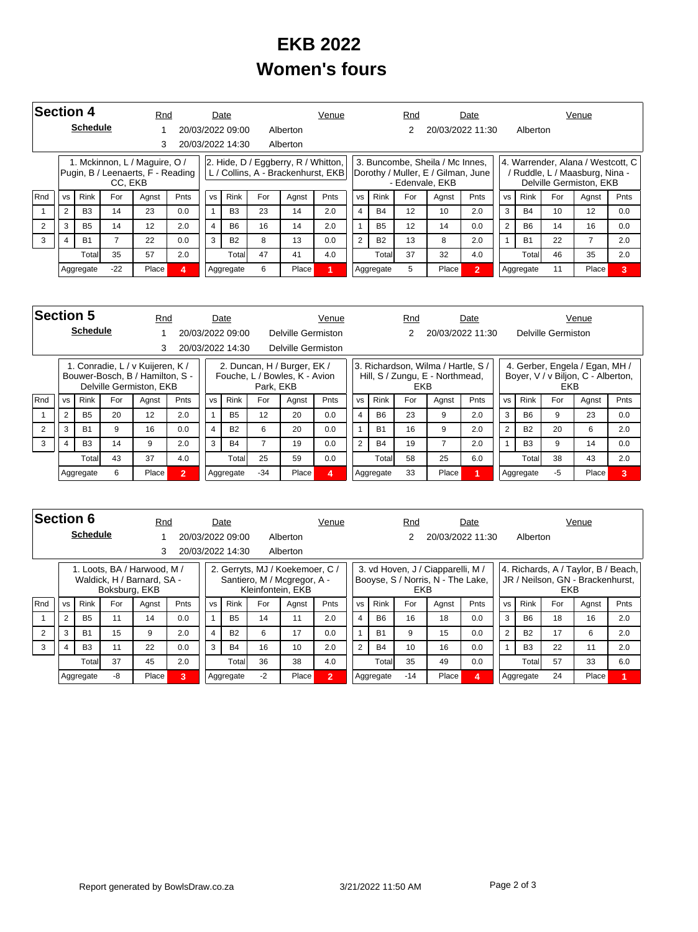## **EKB 2022 Women's fours**

|     | Section 4      |                 |         | Rnd                                                                |      |           | Date                        |    |                                         | Venue                              |                |             | Rnd |                                                                                          | Date           |                |             |     | Venue                                                                                            |      |
|-----|----------------|-----------------|---------|--------------------------------------------------------------------|------|-----------|-----------------------------|----|-----------------------------------------|------------------------------------|----------------|-------------|-----|------------------------------------------------------------------------------------------|----------------|----------------|-------------|-----|--------------------------------------------------------------------------------------------------|------|
|     |                | <b>Schedule</b> |         |                                                                    |      |           | 20/03/2022 09:00            |    | Alberton                                |                                    |                |             |     | 20/03/2022 11:30                                                                         |                |                | Alberton    |     |                                                                                                  |      |
|     |                |                 |         | 3                                                                  |      |           | 20/03/2022 14:30            |    | Alberton                                |                                    |                |             |     |                                                                                          |                |                |             |     |                                                                                                  |      |
|     |                |                 | CC. EKB | 1. Mckinnon, L / Maguire, O /<br>Pugin, B / Leenaerts, F - Reading |      |           |                             |    | $ 2. H$ ide, D / Eggberry, R / Whitton, | L / Collins, A - Brackenhurst, EKB |                |             |     | 3. Buncombe, Sheila / Mc Innes,<br>Dorothy / Muller, E / Gilman, June<br>- Edenvale, EKB |                |                |             |     | 4. Warrender, Alana / Westcott, C  <br>/ Ruddle, L / Maasburg, Nina -<br>Delville Germiston, EKB |      |
| Rnd | <b>VS</b>      | <b>Rink</b>     | For     | Agnst                                                              | Pnts | <b>VS</b> | <b>Rink</b><br>For<br>Agnst |    |                                         | <b>Pnts</b>                        | <b>VS</b>      | <b>Rink</b> | For | Agnst                                                                                    | <b>Pnts</b>    | <b>VS</b>      | <b>Rink</b> | For | Agnst                                                                                            | Pnts |
|     | $\overline{2}$ | <b>B3</b>       | 14      | 23                                                                 | 0.0  |           | B <sub>3</sub>              | 23 | 14                                      | 2.0                                | $\overline{4}$ | <b>B4</b>   | 12  | 10                                                                                       | 2.0            | 3              | <b>B4</b>   | 10  | 12                                                                                               | 0.0  |
|     | 3              | <b>B5</b>       | 14      | 12                                                                 | 2.0  | 4         | <b>B6</b>                   | 16 | 14                                      | 2.0                                |                | <b>B5</b>   | 12  | 14                                                                                       | 0.0            | $\overline{2}$ | <b>B6</b>   | 14  | 16                                                                                               | 0.0  |
| 3   |                | <b>B1</b>       |         | 22                                                                 | 0.0  | 3         | <b>B2</b>                   | 8  | 13                                      | 0.0                                | 2              | <b>B2</b>   | 13  | 8                                                                                        | 2.0            |                | <b>B1</b>   | 22  |                                                                                                  | 2.0  |
|     |                | Totall          | 35      | 57                                                                 | 2.0  |           | Total                       | 47 | 41                                      | 4.0                                |                | Total       | 37  | 32                                                                                       | 4.0            |                | Total       | 46  | 35                                                                                               | 2.0  |
|     |                | Aggregate       | $-22$   | Place                                                              | Δ    |           | Aggregate                   | 6  | Place                                   |                                    |                | Aggregate   | 5   | Place                                                                                    | $\overline{2}$ |                | Aggregate   | 11  | Place                                                                                            | 3    |

|            | Section 5 |                 |     |                                                                                                | Rnd          |                | Date             |           |                                                              | Venue |                |             |        | Rnd |                                                                       | Date |           |                |                    | Venue                                                                |      |
|------------|-----------|-----------------|-----|------------------------------------------------------------------------------------------------|--------------|----------------|------------------|-----------|--------------------------------------------------------------|-------|----------------|-------------|--------|-----|-----------------------------------------------------------------------|------|-----------|----------------|--------------------|----------------------------------------------------------------------|------|
|            |           | <b>Schedule</b> |     |                                                                                                |              |                | 20/03/2022 09:00 |           | Delville Germiston                                           |       |                |             |        |     | 20/03/2022 11:30                                                      |      |           |                | Delville Germiston |                                                                      |      |
|            | 3         |                 |     |                                                                                                |              |                | 20/03/2022 14:30 |           | Delville Germiston                                           |       |                |             |        |     |                                                                       |      |           |                |                    |                                                                      |      |
|            |           |                 |     | 1. Conradie, L / v Kuijeren, K /<br>Bouwer-Bosch, B / Hamilton, S -<br>Delville Germiston, EKB |              |                |                  | Park. EKB | 2. Duncan, H / Burger, EK /<br>Fouche, L / Bowles, K - Avion |       |                |             |        | EKB | 3. Richardson, Wilma / Hartle, S /<br>Hill, S / Zungu, E - Northmead, |      |           |                | <b>EKB</b>         | 4. Gerber, Engela / Egan, MH /<br>Boyer, V / v Biljon, C - Alberton, |      |
| <b>Rnd</b> | <b>VS</b> | <b>Rink</b>     | For | Agnst                                                                                          | <b>Pnts</b>  | <b>VS</b>      | <b>Rink</b>      | For       | Agnst                                                        | Pnts  | <b>VS</b>      | <b>Rink</b> |        | For | Agnst                                                                 | Pnts | <b>VS</b> | <b>Rink</b>    | For                | Agnst                                                                | Pnts |
|            | 2         | <b>B5</b>       | 20  | 12                                                                                             | 2.0          |                | <b>B5</b>        | 12        | 20                                                           | 0.0   | 4              | <b>B6</b>   |        | 23  | 9                                                                     | 2.0  | 3         | <b>B6</b>      | 9                  | 23                                                                   | 0.0  |
|            | 3         | <b>B1</b>       | 9   | 16                                                                                             | 0.0          | $\overline{4}$ | <b>B2</b>        | 6         | 20                                                           | 0.0   |                | <b>B1</b>   |        | 16  | 9                                                                     | 2.0  | 2         | <b>B2</b>      | 20                 | 6                                                                    | 2.0  |
| 3          | 4         | <b>B3</b>       | 14  | 9                                                                                              | 2.0          | 3              | <b>B4</b>        |           | 19                                                           | 0.0   | $\overline{2}$ | <b>B4</b>   |        | 19  |                                                                       | 2.0  |           | B <sub>3</sub> | 9                  | 14                                                                   | 0.0  |
|            |           | Totall          | 43  | 37                                                                                             | 4.0          |                | Total            | 25        | 59                                                           | 0.0   |                |             | Totall | 58  | 25                                                                    | 6.0  |           | Total          | 38                 | 43                                                                   | 2.0  |
|            |           | Aggregate       | 6   | Place                                                                                          | $\mathbf{2}$ |                | Aggregate        | $-34$     | Place                                                        | 4     |                | Aggregate   |        | 33  | Place                                                                 |      |           | Aggregate      | -5                 | Place                                                                | 3    |

|     | <b>Section 6</b><br><b>Schedule</b> |                |               |                                                           | Rnd  |           | Date             |      |                                                                                     | Venue                 |                |             | Rnd   |                                                                        | Date |                |             |     | Venue                                                                   |      |
|-----|-------------------------------------|----------------|---------------|-----------------------------------------------------------|------|-----------|------------------|------|-------------------------------------------------------------------------------------|-----------------------|----------------|-------------|-------|------------------------------------------------------------------------|------|----------------|-------------|-----|-------------------------------------------------------------------------|------|
|     |                                     |                |               |                                                           |      |           | 20/03/2022 09:00 |      | Alberton                                                                            |                       |                |             | 2     | 20/03/2022 11:30                                                       |      |                | Alberton    |     |                                                                         |      |
|     |                                     |                |               | 3                                                         |      |           | 20/03/2022 14:30 |      | Alberton                                                                            |                       |                |             |       |                                                                        |      |                |             |     |                                                                         |      |
|     |                                     |                | Boksburg, EKB | 1. Loots. BA / Harwood. M /<br>Waldick, H / Barnard, SA - |      |           |                  |      | 2. Gerryts, MJ / Koekemoer, C /<br>Santiero, M / Mcgregor, A -<br>Kleinfontein, EKB |                       |                |             | EKB   | 3. vd Hoven, J / Ciapparelli, M /<br>Booyse, S / Norris, N - The Lake, |      |                |             | EKB | 4. Richards, A / Taylor, B / Beach,<br>JR / Neilson, GN - Brackenhurst, |      |
| Rnd | <b>VS</b>                           | <b>Rink</b>    | For           | Agnst                                                     | Pnts | <b>VS</b> | <b>Rink</b>      | For  | Agnst                                                                               | Pnts                  | <b>VS</b>      | <b>Rink</b> | For   | Agnst                                                                  | Pnts | <b>VS</b>      | <b>Rink</b> | For | Agnst                                                                   | Pnts |
|     | 2                                   | <b>B5</b>      |               | 14                                                        | 0.0  |           | <b>B5</b>        | 14   | 11                                                                                  | 2.0                   | $\overline{4}$ | <b>B6</b>   | 16    | 18                                                                     | 0.0  | 3              | <b>B6</b>   | 18  | 16                                                                      | 2.0  |
| 2   | 3                                   | <b>B1</b>      | 15            | 9                                                         | 2.0  | 4         | <b>B2</b>        | 6    | 17                                                                                  | 0.0                   |                | <b>B1</b>   | 9     | 15                                                                     | 0.0  | $\mathfrak{p}$ | <b>B2</b>   | 17  | 6                                                                       | 2.0  |
| 3   | 4                                   | B <sub>3</sub> | 11            | 22                                                        | 0.0  | 3         | <b>B4</b>        | 16   | 10                                                                                  | 2.0                   | $\overline{2}$ | <b>B4</b>   | 10    | 16                                                                     | 0.0  |                | <b>B3</b>   | 22  | 11                                                                      | 2.0  |
|     |                                     | Total          | 37            | 45                                                        | 2.0  |           | Totall           | 36   | 38                                                                                  | 4.0                   |                | Total       | 35    | 49                                                                     | 0.0  |                | Total       | 57  | 33                                                                      | 6.0  |
|     |                                     | Aggregate      | -8            | Place                                                     | 3    |           | Aggregate        | $-2$ | Place                                                                               | $\mathbf{2}^{\prime}$ |                | Aggregate   | $-14$ | Place                                                                  |      |                | Aggregate   | 24  | Place                                                                   |      |